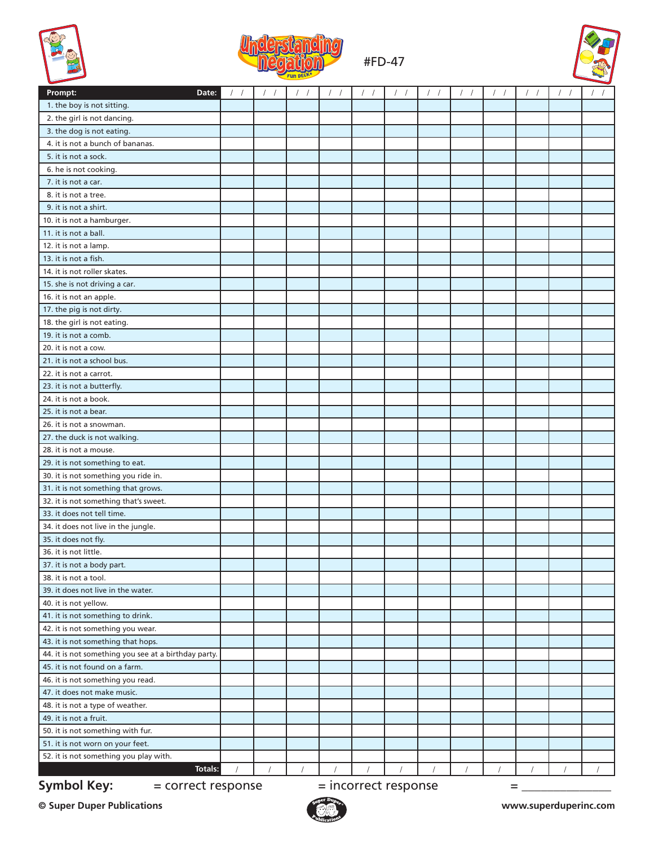



## #FD-47



| Date:<br>Prompt:                                                        |  |  |          |  |  |  |  |  |  |  |
|-------------------------------------------------------------------------|--|--|----------|--|--|--|--|--|--|--|
| 1. the boy is not sitting.                                              |  |  |          |  |  |  |  |  |  |  |
| 2. the girl is not dancing.                                             |  |  |          |  |  |  |  |  |  |  |
| 3. the dog is not eating.                                               |  |  |          |  |  |  |  |  |  |  |
| 4. it is not a bunch of bananas.                                        |  |  |          |  |  |  |  |  |  |  |
| 5. it is not a sock.                                                    |  |  |          |  |  |  |  |  |  |  |
| 6. he is not cooking.                                                   |  |  |          |  |  |  |  |  |  |  |
| 7. it is not a car.                                                     |  |  |          |  |  |  |  |  |  |  |
| 8. it is not a tree.                                                    |  |  |          |  |  |  |  |  |  |  |
| 9. it is not a shirt.                                                   |  |  |          |  |  |  |  |  |  |  |
| 10. it is not a hamburger.                                              |  |  |          |  |  |  |  |  |  |  |
| 11. it is not a ball.                                                   |  |  |          |  |  |  |  |  |  |  |
| 12. it is not a lamp.                                                   |  |  |          |  |  |  |  |  |  |  |
| 13. it is not a fish.                                                   |  |  |          |  |  |  |  |  |  |  |
| 14. it is not roller skates.                                            |  |  |          |  |  |  |  |  |  |  |
| 15. she is not driving a car.                                           |  |  |          |  |  |  |  |  |  |  |
| 16. it is not an apple.                                                 |  |  |          |  |  |  |  |  |  |  |
| 17. the pig is not dirty.                                               |  |  |          |  |  |  |  |  |  |  |
| 18. the girl is not eating.                                             |  |  |          |  |  |  |  |  |  |  |
| 19. it is not a comb.                                                   |  |  |          |  |  |  |  |  |  |  |
| 20. it is not a cow.                                                    |  |  |          |  |  |  |  |  |  |  |
| 21. it is not a school bus.                                             |  |  |          |  |  |  |  |  |  |  |
| 22. it is not a carrot.                                                 |  |  |          |  |  |  |  |  |  |  |
| 23. it is not a butterfly.                                              |  |  |          |  |  |  |  |  |  |  |
| 24. it is not a book.                                                   |  |  |          |  |  |  |  |  |  |  |
| 25. it is not a bear.                                                   |  |  |          |  |  |  |  |  |  |  |
| 26. it is not a snowman.                                                |  |  |          |  |  |  |  |  |  |  |
| 27. the duck is not walking.                                            |  |  |          |  |  |  |  |  |  |  |
| 28. it is not a mouse.                                                  |  |  |          |  |  |  |  |  |  |  |
| 29. it is not something to eat.                                         |  |  |          |  |  |  |  |  |  |  |
| 30. it is not something you ride in.                                    |  |  |          |  |  |  |  |  |  |  |
| 31. it is not something that grows.                                     |  |  |          |  |  |  |  |  |  |  |
| 32. it is not something that's sweet.                                   |  |  |          |  |  |  |  |  |  |  |
| 33. it does not tell time.                                              |  |  |          |  |  |  |  |  |  |  |
| 34. it does not live in the jungle.                                     |  |  |          |  |  |  |  |  |  |  |
| 35. it does not fly.                                                    |  |  |          |  |  |  |  |  |  |  |
| 36. it is not little.                                                   |  |  |          |  |  |  |  |  |  |  |
| 37. it is not a body part.                                              |  |  |          |  |  |  |  |  |  |  |
| 38. it is not a tool.                                                   |  |  |          |  |  |  |  |  |  |  |
| 39. it does not live in the water.                                      |  |  |          |  |  |  |  |  |  |  |
| 40. it is not yellow.                                                   |  |  |          |  |  |  |  |  |  |  |
| 41. it is not something to drink.                                       |  |  |          |  |  |  |  |  |  |  |
| 42. it is not something you wear.                                       |  |  |          |  |  |  |  |  |  |  |
| 43. it is not something that hops.                                      |  |  |          |  |  |  |  |  |  |  |
| 44. it is not something you see at a birthday party.                    |  |  |          |  |  |  |  |  |  |  |
| 45. it is not found on a farm.                                          |  |  |          |  |  |  |  |  |  |  |
| 46. it is not something you read.                                       |  |  |          |  |  |  |  |  |  |  |
| 47. it does not make music.                                             |  |  |          |  |  |  |  |  |  |  |
| 48. it is not a type of weather.                                        |  |  |          |  |  |  |  |  |  |  |
| 49. it is not a fruit.                                                  |  |  |          |  |  |  |  |  |  |  |
| 50. it is not something with fur.                                       |  |  |          |  |  |  |  |  |  |  |
| 51. it is not worn on your feet.                                        |  |  |          |  |  |  |  |  |  |  |
| 52. it is not something you play with.                                  |  |  |          |  |  |  |  |  |  |  |
| <b>Totals:</b>                                                          |  |  | $\prime$ |  |  |  |  |  |  |  |
| <b>Symbol Key:</b><br>$=$ incorrect response<br>= correct response<br>Ξ |  |  |          |  |  |  |  |  |  |  |

**© Super Duper Publications www.superduperinc.com**